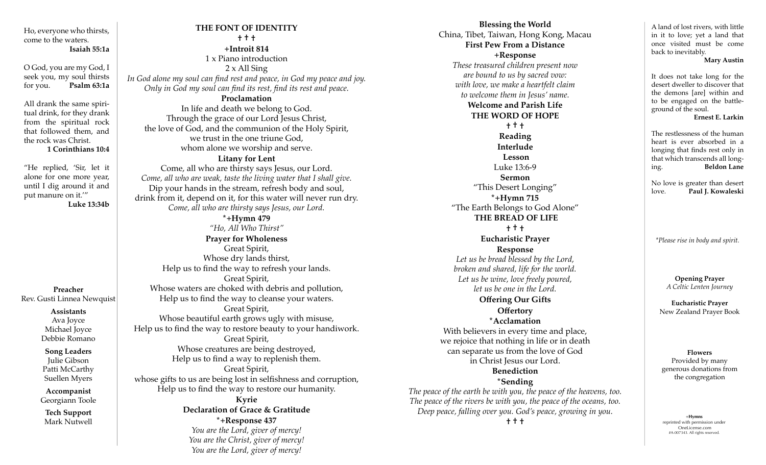Ho, everyone who thirsts, come to the waters. **Isaiah 55:1a**

O God, you are my God, I seek you, my soul thirsts for you. **Psalm 63:1a**

All drank the same spiritual drink, for they drank from the spiritual rock that followed them, and the rock was Christ.

**1 Corinthians 10:4**

"He replied, 'Sir, let it alone for one more year, until I dig around it and put manure on it.'" **Luke 13:34b**

**Preacher** Rev. Gusti Linnea Newquist

**Assistants**

Ava Joyce Michael Joyce Debbie Romano

**Song Leaders** Julie Gibson Patti McCarthy Suellen Myers

**Accompanist** Georgiann Toole

**Tech Support** Mark Nutwell

**THE FONT OF IDENTITY † † † +Introit 814**  1 x Piano introduction 2 x All Sing *In God alone my soul can find rest and peace, in God my peace and joy. Only in God my soul can find its rest, find its rest and peace.*  **Proclamation** In life and death we belong to God. Through the grace of our Lord Jesus Christ, the love of God, and the communion of the Holy Spirit, we trust in the one triune God, whom alone we worship and serve. **Litany for Lent**  Come, all who are thirsty says Jesus, our Lord. *Come, all who are weak, taste the living water that I shall give.* Dip your hands in the stream, refresh body and soul, drink from it, depend on it, for this water will never run dry. *Come, all who are thirsty says Jesus, our Lord.*  **\*+Hymn 479** *"Ho, All Who Thirst"* **Prayer for Wholeness** Great Spirit, Whose dry lands thirst, Help us to find the way to refresh your lands. Great Spirit, Whose waters are choked with debris and pollution, Help us to find the way to cleanse your waters. Great Spirit, Whose beautiful earth grows ugly with misuse, Help us to find the way to restore beauty to your handiwork. Great Spirit, Whose creatures are being destroyed, Help us to find a way to replenish them. Great Spirit, whose gifts to us are being lost in selfishness and corruption, Help us to find the way to restore our humanity. **Kyrie Declaration of Grace & Gratitude \*+Response 437** *You are the Lord, giver of mercy!*

> *You are the Christ, giver of mercy! You are the Lord, giver of mercy!*

**Blessing the World** China, Tibet, Taiwan, Hong Kong, Macau **First Pew From a Distance +Response**  *These treasured children present now are bound to us by sacred vow: with love, we make a heartfelt claim to welcome them in Jesus' name.*  **Welcome and Parish Life THE WORD OF HOPE † † † Reading Interlude Lesson** Luke 13:6-9 **Sermon** "This Desert Longing" **\*+Hymn 715**  "The Earth Belongs to God Alone" **THE BREAD OF LIFE † † † Eucharistic Prayer Response** *Let us be bread blessed by the Lord, broken and shared, life for the world. Let us be wine, love freely poured, let us be one in the Lord.*  **Offering Our Gifts Offertory \*Acclamation** With believers in every time and place, we rejoice that nothing in life or in death can separate us from the love of God in Christ Jesus our Lord. **Benediction \*Sending**  *The peace of the earth be with you, the peace of the heavens, too. The peace of the rivers be with you, the peace of the oceans, too. Deep peace, falling over you. God's peace, growing in you.* **† † †** <sup>+</sup>**Hymns**

A land of lost rivers, with little in it to love; yet a land that once visited must be come back to inevitably.

 **Mary Austin**

It does not take long for the desert dweller to discover that the demons [are] within and to be engaged on the battleground of the soul. **Ernest E. Larkin**

The restlessness of the human heart is ever absorbed in a longing that finds rest only in that which transcends all longing. **Beldon Lane**

No love is greater than desert love. **Paul J. Kowaleski**

*\*Please rise in body and spirit.*

**Opening Prayer** *A Celtic Lenten Journey*

**Eucharistic Prayer** New Zealand Prayer Book

**Flowers** Provided by many generous donations from the congregation

reprinted with permission under OneLicense.com #A-007343. All rights reserved.